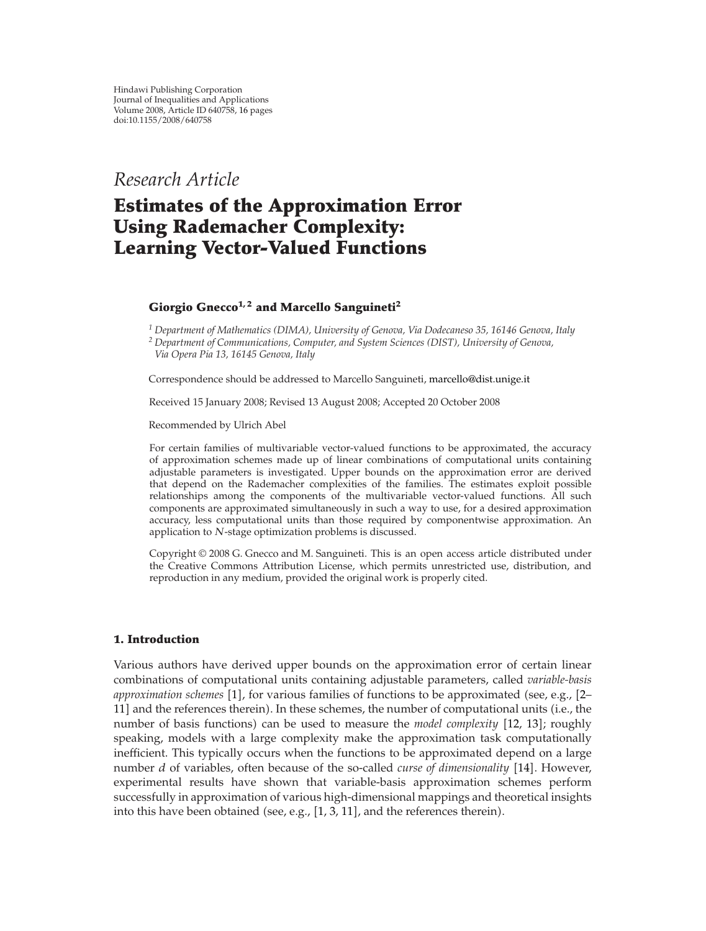*Research Article*

# **Estimates of the Approximation Error Using Rademacher Complexity: Learning Vector-Valued Functions**

# Giorgio Gnecco<sup>1,2</sup> and Marcello Sanguineti<sup>2</sup>

*<sup>1</sup> Department of Mathematics (DIMA), University of Genova, Via Dodecaneso 35, 16146 Genova, Italy <sup>2</sup> Department of Communications, Computer, and System Sciences (DIST), University of Genova,*

*Via Opera Pia 13, 16145 Genova, Italy*

Correspondence should be addressed to Marcello Sanguineti, marcello@dist.unige.it

Received 15 January 2008; Revised 13 August 2008; Accepted 20 October 2008

Recommended by Ulrich Abel

For certain families of multivariable vector-valued functions to be approximated, the accuracy of approximation schemes made up of linear combinations of computational units containing adjustable parameters is investigated. Upper bounds on the approximation error are derived that depend on the Rademacher complexities of the families. The estimates exploit possible relationships among the components of the multivariable vector-valued functions. All such components are approximated simultaneously in such a way to use, for a desired approximation accuracy, less computational units than those required by componentwise approximation. An application to *N*-stage optimization problems is discussed.

Copyright  $@$  2008 G. Gnecco and M. Sanguineti. This is an open access article distributed under the Creative Commons Attribution License, which permits unrestricted use, distribution, and reproduction in any medium, provided the original work is properly cited.

# **1. Introduction**

Various authors have derived upper bounds on the approximation error of certain linear combinations of computational units containing adjustable parameters, called *variable-basis* approximation schemes [1], for various families of functions to be approximated (see, e.g., [2– 11] and the references therein). In these schemes, the number of computational units (i.e., the number of basis functions) can be used to measure the *model complexity* [12, 13]; roughly speaking, models with a large complexity make the approximation task computationally inefficient. This typically occurs when the functions to be approximated depend on a large number *d* of variables, often because of the so-called *curse of dimensionality* [14]. However, experimental results have shown that variable-basis approximation schemes perform successfully in approximation of various high-dimensional mappings and theoretical insights into this have been obtained (see, e.g.,  $[1, 3, 11]$ , and the references therein).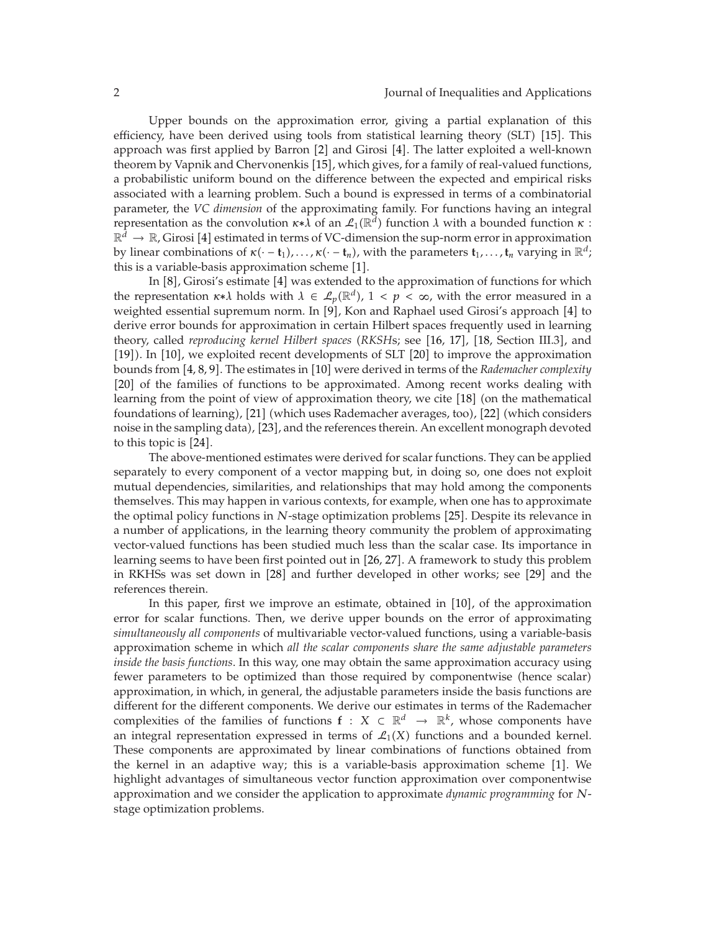Upper bounds on the approximation error, giving a partial explanation of this efficiency, have been derived using tools from statistical learning theory (SLT) [15]. This approach was first applied by Barron [2] and Girosi [4]. The latter exploited a well-known theorem by Vapnik and Chervonenkis [15], which gives, for a family of real-valued functions, a probabilistic uniform bound on the difference between the expected and empirical risks associated with a learning problem. Such a bound is expressed in terms of a combinatorial parameter, the *VC dimension* of the approximating family. For functions having an integral representation as the convolution  $\kappa * \lambda$  of an  $\mathcal{L}_1(\mathbb{R}^d)$  function  $\lambda$  with a bounded function  $\kappa$ :  $\mathbb{R}^{\tilde{d}} \to \mathbb{R}$ , Girosi [4] estimated in terms of VC-dimension the sup-norm error in approximation by linear combinations of  $\kappa(\cdot - \mathbf{t}_1), \ldots, \kappa(\cdot - \mathbf{t}_n)$ , with the parameters  $\mathbf{t}_1, \ldots, \mathbf{t}_n$  varying in  $\mathbb{R}^d$ ; this is a variable-basis approximation scheme  $[1].$ 

In [8], Girosi's estimate [4] was extended to the approximation of functions for which the representation  $\kappa * \lambda$  holds with  $\lambda \in \mathcal{L}_p(\mathbb{R}^d)$ ,  $1 < p < \infty$ , with the error measured in a weighted essential supremum norm. In [9], Kon and Raphael used Girosi's approach [4] to derive error bounds for approximation in certain Hilbert spaces frequently used in learning theory, called *reproducing kernel Hilbert spaces* (RKSHs; see [16, 17], [18, Section III.3], and [19]). In [10], we exploited recent developments of SLT [20] to improve the approximation bounds from [4, 8, 9]. The estimates in [10] were derived in terms of the *Rademacher complexity* [20] of the families of functions to be approximated. Among recent works dealing with learning from the point of view of approximation theory, we cite [18] (on the mathematical foundations of learning), [21] (which uses Rademacher averages, too), [22] (which considers noise in the sampling data), [23], and the references therein. An excellent monograph devoted to this topic is  $[24]$ .

The above-mentioned estimates were derived for scalar functions. They can be applied separately to every component of a vector mapping but, in doing so, one does not exploit mutual dependencies, similarities, and relationships that may hold among the components themselves. This may happen in various contexts, for example, when one has to approximate the optimal policy functions in *N*-stage optimization problems [25]. Despite its relevance in a number of applications, in the learning theory community the problem of approximating vector-valued functions has been studied much less than the scalar case. Its importance in learning seems to have been first pointed out in [26, 27]. A framework to study this problem in RKHSs was set down in [28] and further developed in other works; see [29] and the references therein.

In this paper, first we improve an estimate, obtained in [10], of the approximation error for scalar functions. Then, we derive upper bounds on the error of approximating *simultaneously all components* of multivariable vector-valued functions, using a variable-basis approximation scheme in which *all the scalar components share the same adjustable parameters inside the basis functions*. In this way, one may obtain the same approximation accuracy using fewer parameters to be optimized than those required by componentwise (hence scalar) approximation, in which, in general, the adjustable parameters inside the basis functions are different for the different components. We derive our estimates in terms of the Rademacher complexities of the families of functions  $f : X \subset \mathbb{R}^d \to \mathbb{R}^k$ , whose components have an integral representation expressed in terms of  $\mathcal{L}_1(X)$  functions and a bounded kernel. These components are approximated by linear combinations of functions obtained from the kernel in an adaptive way; this is a variable-basis approximation scheme  $[1]$ . We highlight advantages of simultaneous vector function approximation over componentwise approximation and we consider the application to approximate *dynamic programming* for *N*stage optimization problems.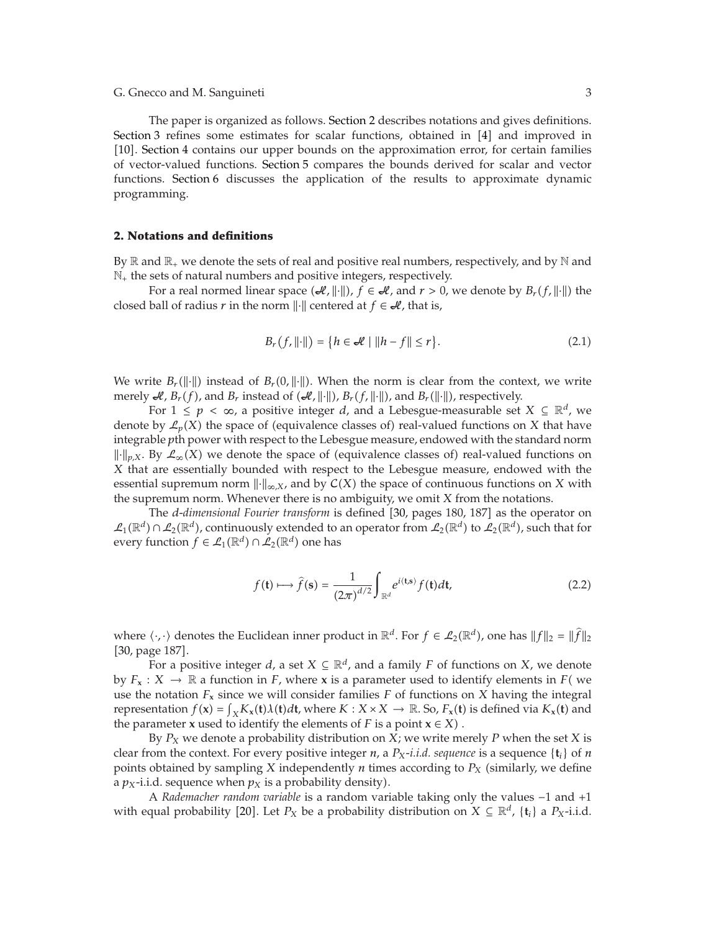The paper is organized as follows. Section 2 describes notations and gives definitions. Section 3 refines some estimates for scalar functions, obtained in  $[4]$  and improved in [10]. Section 4 contains our upper bounds on the approximation error, for certain families of vector-valued functions. Section 5 compares the bounds derived for scalar and vector functions. Section 6 discusses the application of the results to approximate dynamic programming.

# **2. Notations and definitions**

By  $\mathbb R$  and  $\mathbb R_+$  we denote the sets of real and positive real numbers, respectively, and by  $\mathbb N$  and  $\mathbb{N}_+$  the sets of natural numbers and positive integers, respectively.

For a real normed linear space  $(H, \|\cdot\|)$ ,  $f \in H$ , and  $r > 0$ , we denote by  $B_r(f, \|\cdot\|)$  the closed ball of radius *r* in the norm  $\|\cdot\|$  centered at  $f \in \mathcal{H}$ , that is,

$$
B_r(f, \|\cdot\|) = \{ h \in \mathcal{A} \mid \|h - f\| \le r \}. \tag{2.1}
$$

We write  $B_r(||\cdot||)$  instead of  $B_r(0, ||\cdot||)$ . When the norm is clear from the context, we write merely  $\mathcal{A}, B_r(f)$ , and  $B_r$  instead of  $(\mathcal{A}, \|\cdot\|)$ ,  $B_r(f, \|\cdot\|)$ , and  $B_r(\|\cdot\|)$ , respectively.

For  $1 \leq p < \infty$ , a positive integer *d*, and a Lebesgue-measurable set  $X \subseteq \mathbb{R}^d$ , we denote by  $\mathcal{L}_p(X)$  the space of (equivalence classes of) real-valued functions on *X* that have integrable *p*th power with respect to the Lebesgue measure, endowed with the standard norm  $\| \cdot \|_{p,X}$ . By  $\mathcal{L}_{\infty}(X)$  we denote the space of (equivalence classes of) real-valued functions on *X* that are essentially bounded with respect to the Lebesgue measure, endowed with the essential supremum norm  $\|\cdot\|_{\infty,X}$ , and by  $\mathcal{C}(X)$  the space of continuous functions on X with the supremum norm. Whenever there is no ambiguity, we omit *X* from the notations.

The *d-dimensional Fourier transform* is defined [30, pages 180, 187] as the operator on  $\mathcal{L}_1(\mathbb{R}^d) \cap \mathcal{L}_2(\mathbb{R}^d)$ , continuously extended to an operator from  $\mathcal{L}_2(\mathbb{R}^d)$  to  $\mathcal{L}_2(\mathbb{R}^d)$ , such that for every function  $f \in \mathcal{L}_1(\mathbb{R}^d) \cap \mathcal{L}_2(\mathbb{R}^d)$  one has

$$
f(\mathbf{t}) \longmapsto \hat{f}(\mathbf{s}) = \frac{1}{(2\pi)^{d/2}} \int_{\mathbb{R}^d} e^{i\langle \mathbf{t}, \mathbf{s} \rangle} f(\mathbf{t}) d\mathbf{t}, \tag{2.2}
$$

where  $\langle \cdot, \cdot \rangle$  denotes the Euclidean inner product in  $\mathbb{R}^d$ . For  $f \in \mathcal{L}_2(\mathbb{R}^d)$ , one has  $||f||_2 = ||\hat{f}||_2$ [30, page 187].

For a positive integer *d*, a set  $X \subseteq \mathbb{R}^d$ , and a family *F* of functions on *X*, we denote by  $F_x$ :  $X \to \mathbb{R}$  a function in *F*, where **x** is a parameter used to identify elements in *F* (we use the notation  $F_x$  since we will consider families  $F$  of functions on  $X$  having the integral representation  $f(\mathbf{x}) = \int_X K_{\mathbf{x}}(\mathbf{t}) \lambda(\mathbf{t}) d\mathbf{t}$ , where  $K : X \times X \to \mathbb{R}$ . So,  $F_{\mathbf{x}}(\mathbf{t})$  is defined via  $K_{\mathbf{x}}(\mathbf{t})$  and the parameter **x** used to identify the elements of *E* is a point  $\mathbf{x} \in X$ ) the parameter **x** used to identify the elements of *F* is a point  $x \in X$ .

By *PX* we denote a probability distribution on *X*; we write merely *P* when the set *X* is clear from the context. For every positive integer *n*, a  $P_X$ -*i.i.d. sequence* is a sequence  $\{t_i\}$  of *n* points obtained by sampling *X* independently *n* times according to  $P_X$  (similarly, we define a  $p_X$ -i.i.d. sequence when  $p_X$  is a probability density).

A *Rademacher random variable* is a random variable taking only the values −1 and 1 with equal probability [20]. Let  $P_X$  be a probability distribution on  $X \subseteq \mathbb{R}^d$ ,  $\{t_i\}$  a  $P_X$ -i.i.d.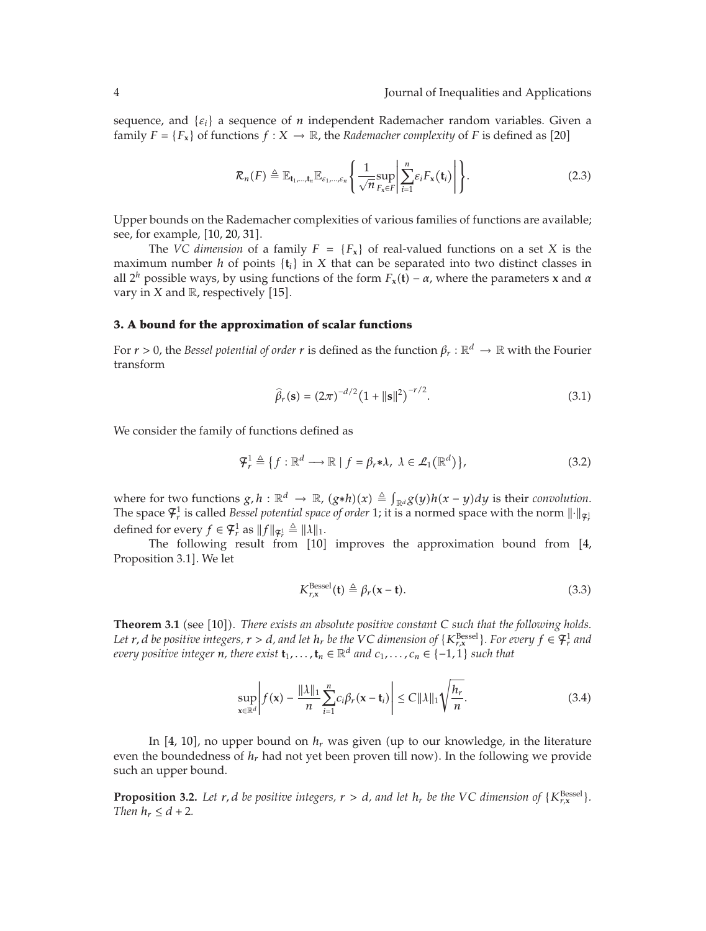sequence, and {*εi*} a sequence of *n* independent Rademacher random variables. Given a family  $F = \{F_x\}$  of functions  $f : X \to \mathbb{R}$ , the *Rademacher complexity* of *F* is defined as [20]

$$
\mathcal{R}_n(F) \triangleq \mathbb{E}_{\mathbf{t}_1,\dots,\mathbf{t}_n} \mathbb{E}_{\varepsilon_1,\dots,\varepsilon_n} \left\{ \frac{1}{\sqrt{n}} \sup_{F_x \in F} \left| \sum_{i=1}^n \varepsilon_i F_x(\mathbf{t}_i) \right| \right\}.
$$
 (2.3)

Upper bounds on the Rademacher complexities of various families of functions are available; see, for example, [10, 20, 31].

The *VC dimension* of a family  $F = \{F_x\}$  of real-valued functions on a set *X* is the maximum number *h* of points  $\{t_i\}$  in *X* that can be separated into two distinct classes in all  $2^h$  possible ways, by using functions of the form  $F_x(t) - \alpha$ , where the parameters **x** and  $\alpha$ vary in  $X$  and  $\mathbb R$ , respectively [15].

## **3. A bound for the approximation of scalar functions**

For  $r > 0$ , the *Bessel potential of order*  $r$  is defined as the function  $\beta_r : \mathbb{R}^d \to \mathbb{R}$  with the Fourier transform

$$
\widehat{\beta}_r(\mathbf{s}) = (2\pi)^{-d/2} (1 + ||\mathbf{s}||^2)^{-r/2}.
$$
\n(3.1)

We consider the family of functions defined as

$$
\mathcal{F}_r^1 \triangleq \{f: \mathbb{R}^d \longrightarrow \mathbb{R} \mid f = \beta_r * \lambda, \ \lambda \in \mathcal{L}_1(\mathbb{R}^d) \},\tag{3.2}
$$

where for two functions  $g,h:\mathbb{R}^d\to\mathbb{R}$ ,  $(g*h)(x)\triangleq\int_{\mathbb{R}^d}g(y)h(x-y)dy$  is their *convolution*. The space  $\mathcal{F}_r^1$  is called *Bessel potential space of order* 1; it is a normed space with the norm  $\lVert \cdot \rVert_{\mathcal{F}_r^1}$ defined for every  $f \in \mathfrak{F}_r^1$  as  $||f||_{\mathfrak{F}_r^1} \triangleq ||\lambda||_1$ .

The following result from [10] improves the approximation bound from [4, Proposition 3.1]. We let

$$
K_{r,x}^{\text{Bessel}}(\mathbf{t}) \triangleq \beta_r(\mathbf{x} - \mathbf{t}). \tag{3.3}
$$

**Theorem 3.1** (see [10]). *There exists an absolute positive constant C such that the following holds.*<br>Let x *d* be positive integers  $x > d$  and let b, be the VC dimension of (K<sup>Bessel</sup>). For every  $f \in \mathcal{F}^1$  and *Let r, d be positive integers, r > d, and let h<sub>r</sub> be the VC dimension of* {*K*<sub>*r*</sub><sup>Ressel</sup>}. For every  $f \in \mathcal{F}_r^1$  *and r r reservative integer x there with*  $t$  *r r f*  $\mathbb{R}^d$  *and s every positive integer n, there exist*  $\mathbf{t}_1, \ldots, \mathbf{t}_n \in \mathbb{R}^d$  *and*  $c_1, \ldots, c_n \in \{-1, 1\}$  *such that* 

$$
\sup_{\mathbf{x}\in\mathbb{R}^d} \left| f(\mathbf{x}) - \frac{\|\lambda\|_1}{n} \sum_{i=1}^n c_i \beta_r (\mathbf{x} - \mathbf{t}_i) \right| \le C \|\lambda\|_1 \sqrt{\frac{h_r}{n}}.\tag{3.4}
$$

In [4, 10], no upper bound on  $h_r$  was given (up to our knowledge, in the literature even the boundedness of  $h_r$  had not yet been proven till now). In the following we provide such an upper bound.

**Proposition 3.2.** Let  $r$ ,  $d$  be positive integers,  $r > d$ , and let  $h_r$  be the VC dimension of  $\{K_{r,x}^{\text{Bessel}}\}$ .<br>Then  $h < d+2$ *Then*  $h_r \leq d + 2$ *.*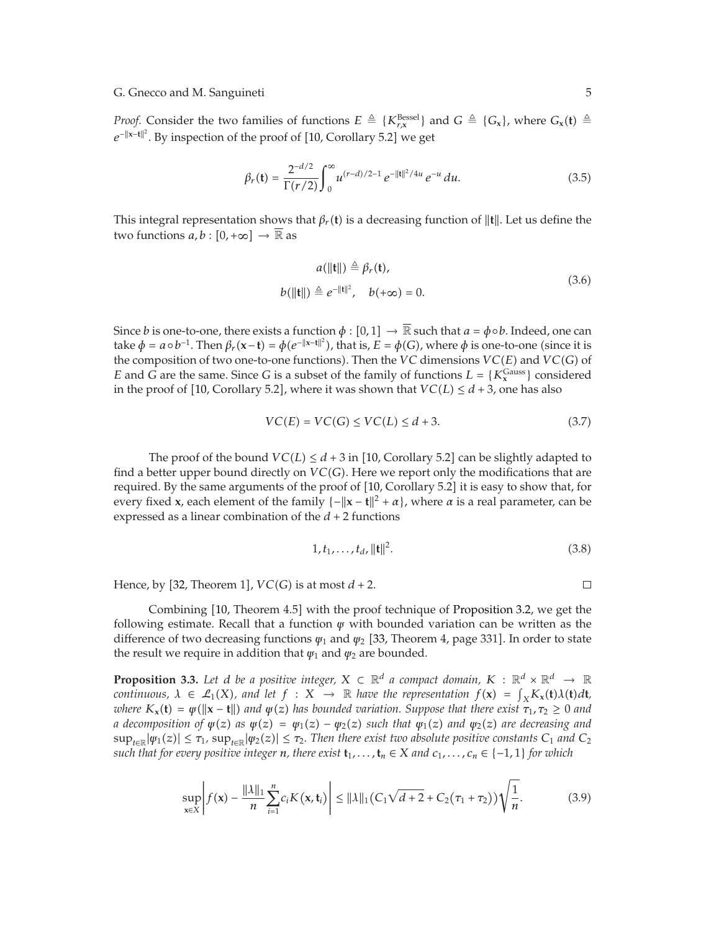*Proof.* Consider the two families of functions  $E \triangleq \{K_{r,x}^{\text{Bessel}}\}$  and  $G \triangleq \{G_x\}$ , where  $G_x(t) \triangleq \frac{c||x-t||^2}{2}$ . Projection of the name of a 110 Gamellone **F** 21 gap and  $G \triangleq \{G_x\}$ . *e*<sup>−||x−t||<sup>2</sup>. By inspection of the proof of [10, Corollary 5.2] we get</sup>

$$
\beta_r(\mathbf{t}) = \frac{2^{-d/2}}{\Gamma(r/2)} \int_0^\infty u^{(r-d)/2 - 1} e^{-\|\mathbf{t}\|^2 / 4u} e^{-u} du. \tag{3.5}
$$

This integral representation shows that  $\beta_r(\mathbf{t})$  is a decreasing function of  $\|\mathbf{t}\|$ . Let us define the two functions  $a,b:[0,+\infty]\to\overline{\mathbb{R}}$  as

$$
a(||\mathbf{t}||) \triangleq \beta_r(\mathbf{t}),
$$
  
\n
$$
b(||\mathbf{t}||) \triangleq e^{-||\mathbf{t}||^2}, \quad b(+\infty) = 0.
$$
\n(3.6)

Since  $b$  is one-to-one, there exists a function  $\phi:[0,1]\to\overline{\mathbb{R}}$  such that  $a=\phi\circ b.$  Indeed, one can take  $\phi = a \circ b^{-1}$ . Then  $\beta_r(\mathbf{x}-\mathbf{t}) = \phi(e^{-||\mathbf{x}-\mathbf{t}||^2})$ , that is,  $E = \phi(G)$ , where  $\phi$  is one-to-one (since it is the composition of two one-to-one functions). Then the *VC* dimensions *VC*( $E$ ) and *VC*( $C$ ) of the composition of two one-to-one functions). Then the *VC* dimensions *VC*(*E*) and *VC*(*G*) of *E* and *G* are the same. Since *G* is a subset of the family of functions  $L = \{K_x^{\text{Gauss}}\}$  considered in the proof of 110. Corollary 5.21, where it was shown that  $VC(L) \leq d+3$ , one has also in the proof of [10, Corollary 5.2], where it was shown that  $VC(L) \leq d+3$ , one has also

$$
VC(E) = VC(G) \le VC(L) \le d + 3. \tag{3.7}
$$

The proof of the bound  $VC(L) \leq d + 3$  in  $[10,$  Corollary 5.2] can be slightly adapted to find a better upper bound directly on  $VC(G)$ . Here we report only the modifications that are required. By the same arguments of the proof of [10, Corollary 5.2] it is easy to show that, for every fixed **x**, each element of the family  $\{-\|\mathbf{x} - \mathbf{t}\|^2 + \alpha\}$ , where  $\alpha$  is a real parameter, can be expressed as a linear combination of the  $d + 2$  functions

$$
1, t_1, \dots, t_d, ||\mathbf{t}||^2. \tag{3.8}
$$

Hence, by  $[32,$  Theorem 1],  $VC(G)$  is at most  $d + 2$ .

 $\Box$ 

Combining [10, Theorem 4.5] with the proof technique of Proposition 3.2, we get the following estimate. Recall that a function *ψ* with bounded variation can be written as the difference of two decreasing functions  $\psi_1$  and  $\psi_2$  [33, Theorem 4, page 331]. In order to state the result we require in addition that  $\psi_1$  and  $\psi_2$  are bounded.

**Proposition 3.3.** Let *d* be a positive integer,  $X \subset \mathbb{R}^d$  a compact domain,  $K : \mathbb{R}^d \times \mathbb{R}^d \to \mathbb{R}$ *continuous,*  $\lambda \in L_1(X)$ *, and let*  $f : X \to \mathbb{R}$  *have the representation*  $f(x) = \int_X K_x(t) \lambda(t) dt$ , where  $K_x(t) = \mu(\|\mathbf{x} - \mathbf{t}\|)$  and  $\mu(x)$  has bounded variation. Sumpose that there exist  $\tau_x, \tau_y > 0$  and *where*  $K_x(t) = \psi(||x - t||)$  *and*  $\psi(z)$  *has bounded variation. Suppose that there exist*  $\tau_1, \tau_2 \ge 0$  *and a* decomposition of  $\psi(z)$  as  $\psi(z) = \psi_1(z) - \psi_2(z)$  such that  $\psi_1(z)$  and  $\psi_2(z)$  are decreasing and  $\sup_{t\in\mathbb{R}}|\psi_1(z)| \leq \tau_1$ ,  $\sup_{t\in\mathbb{R}}|\psi_2(z)| \leq \tau_2$ . Then there exist two absolute positive constants  $C_1$  and  $C_2$ *such that for every positive integer n*, there exist  $\mathbf{t}_1, \ldots, \mathbf{t}_n \in X$  and  $c_1, \ldots, c_n \in \{-1, 1\}$  for which

$$
\sup_{\mathbf{x}\in X} \left| f(\mathbf{x}) - \frac{\|\lambda\|_1}{n} \sum_{i=1}^n c_i K(\mathbf{x}, \mathbf{t}_i) \right| \le \|\lambda\|_1 (C_1 \sqrt{d+2} + C_2 (\tau_1 + \tau_2)) \sqrt{\frac{1}{n}}.
$$
 (3.9)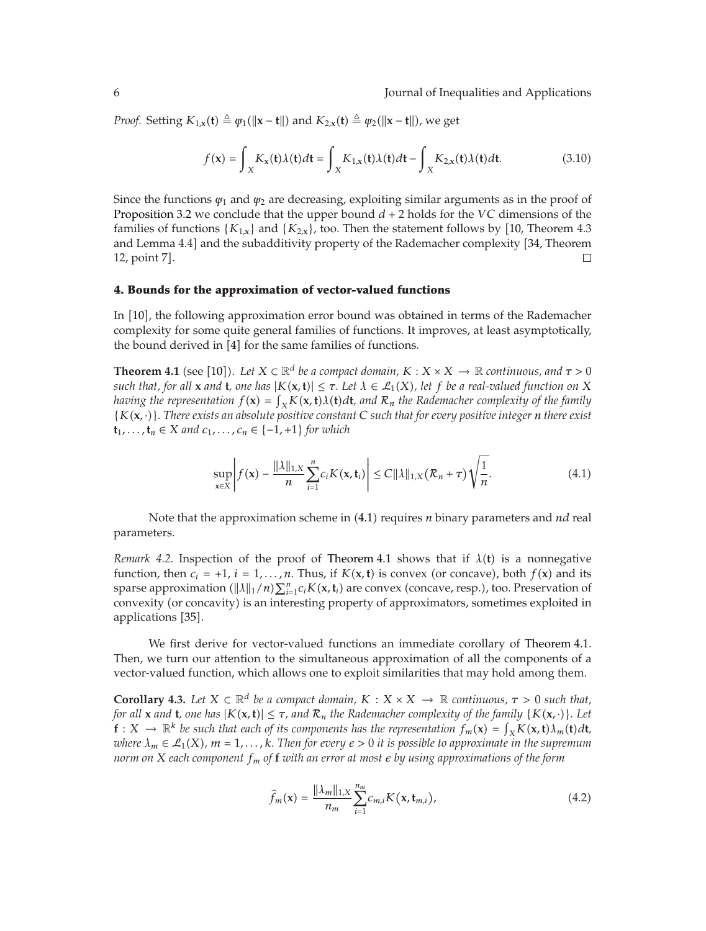*Proof.* Setting  $K_{1,x}(\mathbf{t}) \triangleq \psi_1(\|\mathbf{x} - \mathbf{t}\|)$  and  $K_{2,x}(\mathbf{t}) \triangleq \psi_2(\|\mathbf{x} - \mathbf{t}\|)$ , we get

$$
f(\mathbf{x}) = \int_{X} K_{\mathbf{x}}(\mathbf{t}) \lambda(\mathbf{t}) d\mathbf{t} = \int_{X} K_{1,\mathbf{x}}(\mathbf{t}) \lambda(\mathbf{t}) d\mathbf{t} - \int_{X} K_{2,\mathbf{x}}(\mathbf{t}) \lambda(\mathbf{t}) d\mathbf{t}.
$$
 (3.10)

Since the functions  $\psi_1$  and  $\psi_2$  are decreasing, exploiting similar arguments as in the proof of Proposition 3.2 we conclude that the upper bound  $d + 2$  holds for the *VC* dimensions of the families of functions  $\{K_{1,x}\}\$  and  $\{K_{2,x}\}\$ , too. Then the statement follows by  $\left[10$ , Theorem 4.3 and Lemma 4.4] and the subadditivity property of the Rademacher complexity [34, Theorem 12, point 7].  $\Box$ 

# **4. Bounds for the approximation of vector-valued functions**

In [10], the following approximation error bound was obtained in terms of the Rademacher complexity for some quite general families of functions. It improves, at least asymptotically, the bound derived in  $[4]$  for the same families of functions.

**Theorem 4.1** (see [10]). Let  $X \subseteq \mathbb{R}^d$  be a compact domain,  $K : X \times X \to \mathbb{R}$  continuous, and  $\tau > 0$ <br>such that, for all x and **t**, one has  $|K(x, t)| \leq \tau$ . Let  $\lambda \in \ell_1(X)$ , let f he a real-valued function on X *such that, for all* **x** *and* **t***, one has*  $|K(\mathbf{x}, \mathbf{t})| \leq \tau$ . Let  $\lambda \in \mathcal{L}_1(X)$ *, let*  $f$  *be a real-valued function on*  $X$ *having the representation*  $f(\mathbf{x}) = \int_X K(\mathbf{x}, \mathbf{t}) \lambda(\mathbf{t}) d\mathbf{t}$ *, and*  $\mathcal{R}_n$  *the Rademacher complexity of the family*<br>*I*  $K(\mathbf{x}, \lambda)$ *. There exists an absolute nositive constant* C such that for every nositive i {*K***x***,* ·}*. There exists an absolute positive constant <sup>C</sup> such that for every positive integer <sup>n</sup> there exist* **t**<sub>1</sub>*,...,***t**<sub>*n*</sub> ∈ *X and c*<sub>1</sub>*,...,c<sub>n</sub>* ∈ {-1*,* +1} *for which* 

$$
\sup_{\mathbf{x}\in X}\left|f(\mathbf{x})-\frac{\|\lambda\|_{1,X}}{n}\sum_{i=1}^nc_iK(\mathbf{x},\mathbf{t}_i)\right|\leq C\|\lambda\|_{1,X}(\mathcal{R}_n+\tau)\sqrt{\frac{1}{n}}.\tag{4.1}
$$

Note that the approximation scheme in (4.1) requires *n* binary parameters and *nd* real parameters.

*Remark 4.2.* Inspection of the proof of Theorem 4.1 shows that if  $\lambda(t)$  is a nonnegative function, then  $c_i = +1$ ,  $i = 1, ..., n$ . Thus, if  $K(\mathbf{x}, \mathbf{t})$  is convex (or concave), both  $f(\mathbf{x})$  and its sparse approximation  $(\|\lambda\|_1/n)\sum_{i=1}^n c_i K(\mathbf{x}, \mathbf{t}_i)$  are convex (concave, resp.), too. Preservation of convexity (or concavity) is an interesting property of approximators, sometimes exploited in convexity (or concavity) is an interesting property of approximators, sometimes exploited in applications [35].

We first derive for vector-valued functions an immediate corollary of Theorem 4.1. Then, we turn our attention to the simultaneous approximation of all the components of a vector-valued function, which allows one to exploit similarities that may hold among them.

**Corollary 4.3.** Let  $X \subset \mathbb{R}^d$  be a compact domain,  $K : X \times X \to \mathbb{R}$  continuous,  $\tau > 0$  such that, *for all* **x** *and* **t***, one has*  $|K(\mathbf{x}, \mathbf{t})| \leq \tau$ *, and*  $\mathcal{R}_n$  *the Rademacher complexity of the family*  $\{K(\mathbf{x}, \cdot)\}$ *. Let* **f** :  $X \to \mathbb{R}^k$  *be such that each of its components has the representation*  $f_m(\mathbf{x}) = \int_X K(\mathbf{x}, \mathbf{t}) \lambda_m(\mathbf{t}) d\mathbf{t}$ , <br>where  $\lambda \in \mathcal{P}_k(X)$ ,  $m-1$ ,  $k$ . Then for every  $\epsilon > 0$  it is possible to approximate in the *where*  $\lambda_m \in \mathcal{L}_1(X)$ ,  $m = 1, \ldots, k$ *. Then for every*  $\epsilon > 0$  *it is possible to approximate in the supremum norm on <sup>X</sup> each component fm of* **<sup>f</sup>** *with an error at most by using approximations of the form*

$$
\widehat{f}_{m}(\mathbf{x}) = \frac{\|\lambda_{m}\|_{1,X}}{n_{m}} \sum_{i=1}^{n_{m}} c_{m,i} K(\mathbf{x}, \mathbf{t}_{m,i}),
$$
\n(4.2)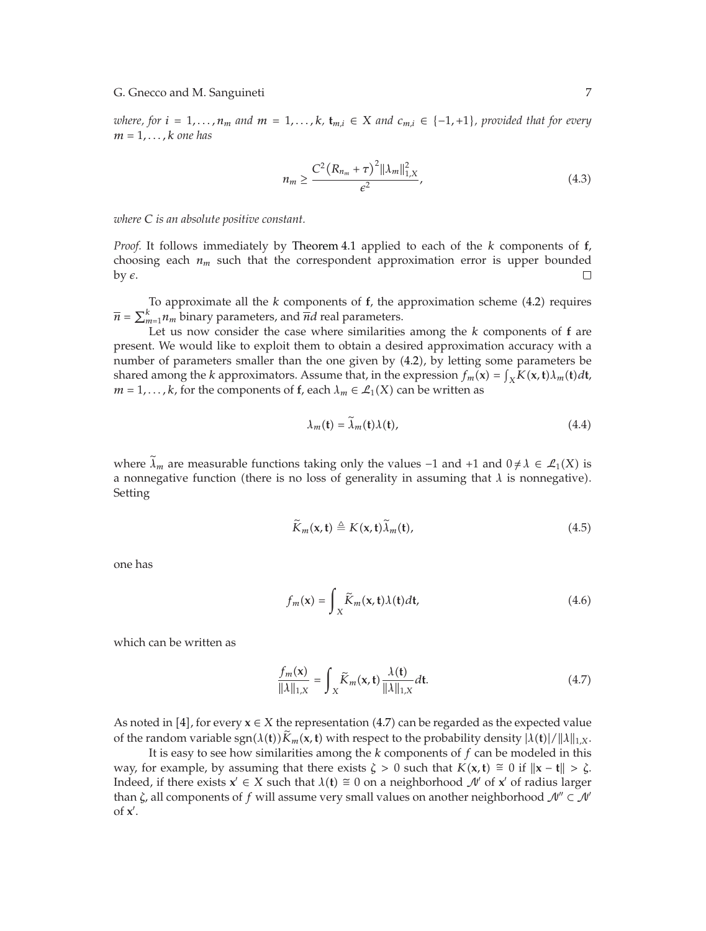*where, for*  $i = 1, \ldots, n_m$  *and*  $m = 1, \ldots, k$ *,*  $\mathbf{t}_{m,i} \in X$  *and*  $c_{m,i} \in \{-1, +1\}$ *, provided that for every*  $m = 1, \ldots, k$  *one has* 

$$
n_m \ge \frac{C^2 (R_{n_m} + \tau)^2 ||\lambda_m||_{1,X}^2}{\epsilon^2},\tag{4.3}
$$

*where C is an absolute positive constant.*

*Proof.* It follows immediately by Theorem 4.1 applied to each of the *<sup>k</sup>* components of **f**, choosing each  $n_m$  such that the correspondent approximation error is upper bounded by  $\epsilon$ .  $\Box$ 

To approximate all the *<sup>k</sup>* components of **f**, the approximation scheme 4.2 requires  $\overline{n} = \sum_{m=1}^{k} n_m$  binary parameters, and  $\overline{n}d$  real parameters.

Let us now consider the case where similarities among the *<sup>k</sup>* components of **f** are present. We would like to exploit them to obtain a desired approximation accuracy with a number of parameters smaller than the one given by (4.2), by letting some parameters be shared among the *k* approximators. Assume that, in the expression  $f_m(\mathbf{x}) = \int_X K(\mathbf{x}, \mathbf{t}) \lambda_m(\mathbf{t}) d\mathbf{t}$ ,  $m = 1$ , k for the components of  $\mathbf{f}$ , each  $\lambda_n \in \mathcal{P}_k(X)$  can be written as  $m = 1, \ldots, k$ , for the components of **f**, each  $\lambda_m \in \mathcal{L}_1(X)$  can be written as

$$
\lambda_m(\mathbf{t}) = \lambda_m(\mathbf{t})\lambda(\mathbf{t}),\tag{4.4}
$$

where  $\lambda_m$  are measurable functions taking only the values -1 and +1 and  $0 \neq \lambda \in \mathcal{L}_1(X)$  is a nonnegative function (there is no loss of generality in assuming that  $\lambda$  is nonnegative). Setting

$$
\widetilde{K}_m(\mathbf{x}, \mathbf{t}) \triangleq K(\mathbf{x}, \mathbf{t}) \widetilde{\lambda}_m(\mathbf{t}), \tag{4.5}
$$

one has

$$
f_m(\mathbf{x}) = \int_X \widetilde{K}_m(\mathbf{x}, \mathbf{t}) \lambda(\mathbf{t}) d\mathbf{t},
$$
\n(4.6)

which can be written as

$$
\frac{f_m(\mathbf{x})}{\|\lambda\|_{1,X}} = \int_X \widetilde{K}_m(\mathbf{x}, \mathbf{t}) \frac{\lambda(\mathbf{t})}{\|\lambda\|_{1,X}} d\mathbf{t}.
$$
\n(4.7)

As noted in [4], for every  $\mathbf{x} \in X$  the representation (4.7) can be regarded as the expected value<br>of the rendom variable son( $I(t)$ )  $\tilde{V}$ , (*x*, **b**) vith respect to the probability depoits  $I(t)$ ( $I(t)$ ) (i) iii of the random variable  $sgn(\lambda(t))\tilde{K}_m(x,t)$  with respect to the probability density  $|\lambda(t)|/||\lambda||_{1,X}$ .

It is easy to see how similarities among the *k* components of *f* can be modeled in this way, for example, by assuming that there exists  $\zeta > 0$  such that  $K(x, t) \approx 0$  if  $||x - t|| > \zeta$ . Indeed, if there exists  $\mathbf{x}' \in X$  such that  $\lambda(\mathbf{t}) \cong 0$  on a neighborhood  $\mathcal{N}'$  of  $\mathbf{x}'$  of radius larger than  $\zeta$ , all components of *f* will assume very small values on another neighborhood  $\mathcal{N}^{\prime\prime} \subset \mathcal{N}^{\prime}$ of **x** .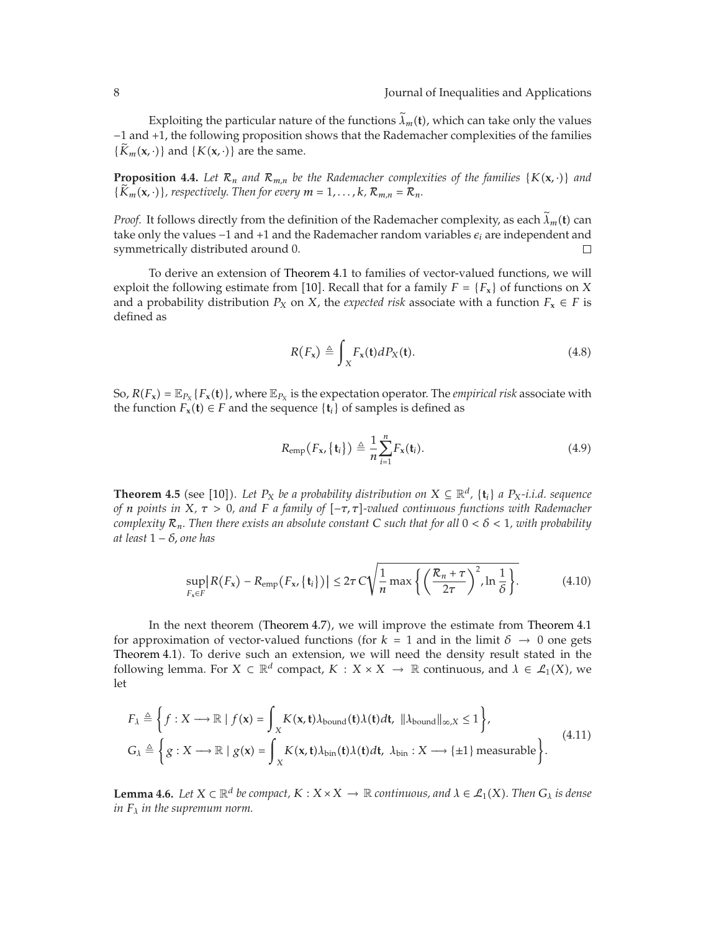Exploiting the particular nature of the functions  $\tilde{\lambda}_m(t)$ , which can take only the values −1 and 1, the following proposition shows that the Rademacher complexities of the families  ${K_m(\mathbf{x}, \cdot)}$  and  ${K(\mathbf{x}, \cdot)}$  are the same.

**Proposition 4.4.** Let  $\mathcal{R}_n$  *and*  $\mathcal{R}_{m,n}$  *be the Rademacher complexities of the families* { $K(\mathbf{x}, \cdot)$ } *and*  ${K_m(\mathbf{x}, \cdot)}$ , respectively. Then for every  $m = 1, \ldots, k$ ,  $\mathcal{R}_{m,n} = \mathcal{R}_n$ .

*Proof.* It follows directly from the definition of the Rademacher complexity, as each  $\tilde{\lambda}_m$  (t) can take only the values  $-1$  and  $+1$  and the Rademacher random variables  $\epsilon_i$  are independent and symmetrically distributed around 0.  $\Box$ 

To derive an extension of Theorem 4.1 to families of vector-valued functions, we will exploit the following estimate from [10]. Recall that for a family  $F = \{F_x\}$  of functions on *X*<br>and a graph hility distribution *D*, an *X*, the numerical violence site a site of traction *F*,  $\epsilon$  *F*, is and a probability distribution  $P_X$  on  $X$ , the *expected risk* associate with a function  $F_X \in F$  is defined as

$$
R(F_x) \triangleq \int_X F_x(t) dP_X(t). \tag{4.8}
$$

So,  $R(F_x) = \mathbb{E}_{P_x} \{F_x(t)\}\$ , where  $\mathbb{E}_{P_x}$  is the expectation operator. The *empirical risk* associate with the function  $F_x(t) \in F$  and the sequence  $\{t_i\}$  of samples is defined as

$$
R_{\text{emp}}(F_{\mathbf{x}}, \{\mathbf{t}_i\}) \triangleq \frac{1}{n} \sum_{i=1}^n F_{\mathbf{x}}(\mathbf{t}_i). \tag{4.9}
$$

**Theorem 4.5** (see [10]). Let  $P_X$  be a probability distribution on  $X \subseteq \mathbb{R}^d$ ,  $\{t_i\}$  a  $P_X$ *-i.i.d. sequence* of *n* points in  $X \subset \mathbb{R}^d$ ,  $\{t_i\}$  and  $F$  a family of  $[-\pi, \pi]$ -valued continuous functions with *of n points in*  $X$ *, τ* > 0*, and F a family of* [-τ, τ]-valued continuous functions with Rademacher *complexity*  $\mathcal{R}_n$ *. Then there exists an absolute constant C such that for all*  $0 < \delta < 1$ *, with probability at least* 1 − *δ, one has*

$$
\sup_{F_x \in F} \left| R(F_x) - R_{\text{emp}}(F_x, \{t_i\}) \right| \le 2\tau C \sqrt{\frac{1}{n} \max \left\{ \left( \frac{\mathcal{R}_n + \tau}{2\tau} \right)^2, \ln \frac{1}{\delta} \right\}}.
$$
 (4.10)

In the next theorem Theorem 4.7, we will improve the estimate from Theorem 4.1 for approximation of vector-valued functions (for  $k = 1$  and in the limit  $\delta \rightarrow 0$  one gets Theorem 4.1. To derive such an extension, we will need the density result stated in the following lemma. For  $X \subset \mathbb{R}^d$  compact,  $K : X \times X \to \mathbb{R}$  continuous, and  $\lambda \in \mathcal{L}_1(X)$ , we let

$$
F_{\lambda} \triangleq \left\{ f : X \longrightarrow \mathbb{R} \mid f(\mathbf{x}) = \int_{X} K(\mathbf{x}, \mathbf{t}) \lambda_{\text{bound}}(\mathbf{t}) \lambda(\mathbf{t}) d\mathbf{t}, \|\lambda_{\text{bound}}\|_{\infty, X} \le 1 \right\},
$$
  
\n
$$
G_{\lambda} \triangleq \left\{ g : X \longrightarrow \mathbb{R} \mid g(\mathbf{x}) = \int_{X} K(\mathbf{x}, \mathbf{t}) \lambda_{\text{bin}}(\mathbf{t}) \lambda(\mathbf{t}) d\mathbf{t}, \ \lambda_{\text{bin}} : X \longrightarrow \{\pm 1\} \text{ measurable} \right\}.
$$
\n(4.11)

**Lemma 4.6.** *Let*  $X \subset \mathbb{R}^d$  *be compact,*  $K : X \times X \to \mathbb{R}$  *continuous, and*  $\lambda \in \mathcal{L}_1(X)$ *. Then*  $G_{\lambda}$  *is dense in Fλ in the supremum norm.*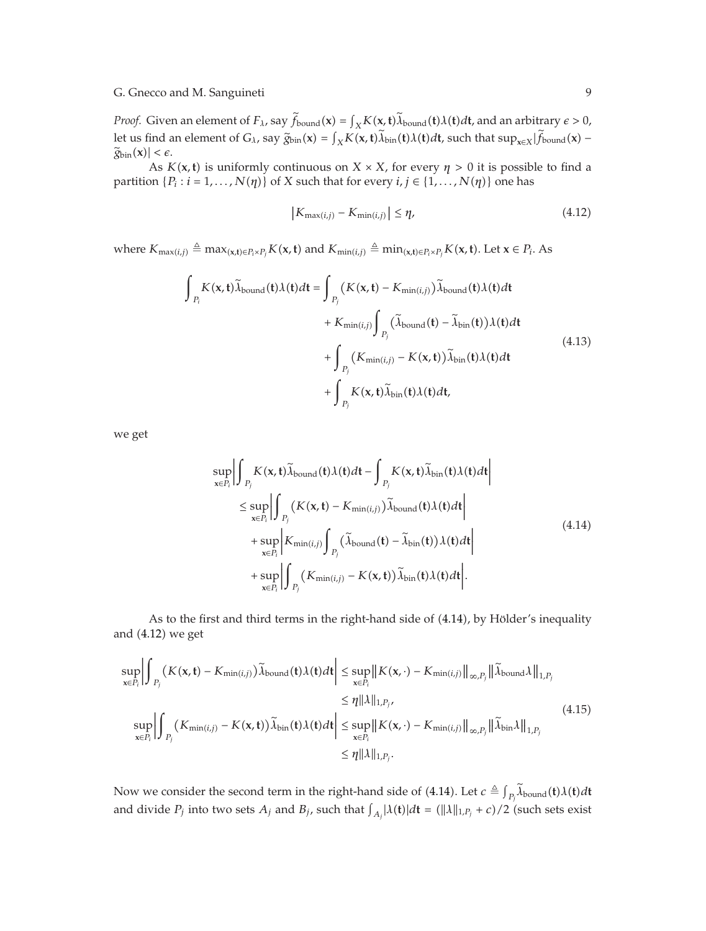*Proof.* Given an element of  $F_\lambda$ , say  $\hat{f}_{\text{bound}}(x) = \int_X K(x, t) \hat{\lambda}_{\text{bound}}(t) \lambda(t) dt$ , and an arbitrary  $\epsilon > 0$ , let us find an element of *G<sub>λ</sub>*, say  $\tilde{g}_{\text{bin}}(x) = \int_X K(x, t) \lambda_{\text{bin}}(t) \lambda(t) dt$ , such that  $\sup_{x \in X} |\tilde{f}_{\text{bound}}(x) - \tilde{g}_{\text{max}}(x)| < \epsilon$  $\widetilde{g}_{\text{bin}}(\mathbf{x}) \leq \epsilon.$ 

As  $K(x, t)$  is uniformly continuous on  $X \times X$ , for every  $\eta > 0$  it is possible to find a partition  $\{P_i : i = 1, ..., N(\eta)\}\$  of *X* such that for every  $i, j \in \{1, ..., N(\eta)\}\$  one has

$$
\left|K_{\max(i,j)} - K_{\min(i,j)}\right| \leq \eta,\tag{4.12}
$$

where  $K_{\max(i,j)} \triangleq \max_{(\mathbf{x}, \mathbf{t}) \in P_i \times P_j} K(\mathbf{x}, \mathbf{t})$  and  $K_{\min(i,j)} \triangleq \min_{(\mathbf{x}, \mathbf{t}) \in P_i \times P_j} K(\mathbf{x}, \mathbf{t})$ . Let  $\mathbf{x} \in P_i$ . As

$$
\int_{P_i} K(\mathbf{x}, \mathbf{t}) \widetilde{\lambda}_{\text{bound}}(\mathbf{t}) \lambda(\mathbf{t}) d\mathbf{t} = \int_{P_j} (K(\mathbf{x}, \mathbf{t}) - K_{\min(i,j)}) \widetilde{\lambda}_{\text{bound}}(\mathbf{t}) \lambda(\mathbf{t}) d\mathbf{t} \n+ K_{\min(i,j)} \int_{P_j} (\widetilde{\lambda}_{\text{bound}}(\mathbf{t}) - \widetilde{\lambda}_{\text{bin}}(\mathbf{t})) \lambda(\mathbf{t}) d\mathbf{t} \n+ \int_{P_j} (K_{\min(i,j)} - K(\mathbf{x}, \mathbf{t})) \widetilde{\lambda}_{\text{bin}}(\mathbf{t}) \lambda(\mathbf{t}) d\mathbf{t} \n+ \int_{P_j} K(\mathbf{x}, \mathbf{t}) \widetilde{\lambda}_{\text{bin}}(\mathbf{t}) \lambda(\mathbf{t}) d\mathbf{t},
$$
\n(4.13)

we get

$$
\sup_{\mathbf{x}\in P_i} \left| \int_{P_j} K(\mathbf{x}, t) \widetilde{\lambda}_{\text{bound}}(t) \lambda(t) dt - \int_{P_j} K(\mathbf{x}, t) \widetilde{\lambda}_{\text{bin}}(t) \lambda(t) dt \right|
$$
\n
$$
\leq \sup_{\mathbf{x}\in P_i} \left| \int_{P_j} (K(\mathbf{x}, t) - K_{\min(i,j)}) \widetilde{\lambda}_{\text{bound}}(t) \lambda(t) dt \right|
$$
\n
$$
+ \sup_{\mathbf{x}\in P_i} \left| K_{\min(i,j)} \int_{P_j} (\widetilde{\lambda}_{\text{bound}}(t) - \widetilde{\lambda}_{\text{bin}}(t)) \lambda(t) dt \right|
$$
\n
$$
+ \sup_{\mathbf{x}\in P_i} \left| \int_{P_j} (K_{\min(i,j)} - K(\mathbf{x}, t)) \widetilde{\lambda}_{\text{bin}}(t) \lambda(t) dt \right|.
$$
\n(4.14)

As to the first and third terms in the right-hand side of (4.14), by Hölder's inequality and  $(4.12)$  we get

$$
\sup_{\mathbf{x}\in P_i} \left| \int_{P_j} (K(\mathbf{x}, \mathbf{t}) - K_{\min(i,j)}) \widetilde{\lambda}_{\text{bound}}(\mathbf{t}) \lambda(\mathbf{t}) d\mathbf{t} \right| \leq \sup_{\mathbf{x}\in P_i} \|K(\mathbf{x}, \cdot) - K_{\min(i,j)}\|_{\infty, P_j} \|\widetilde{\lambda}_{\text{bound}}\lambda\|_{1, P_j} \n\leq \eta \|\lambda\|_{1, P_j},
$$
\n
$$
\sup_{\mathbf{x}\in P_i} \left| \int_{P_j} (K_{\min(i,j)} - K(\mathbf{x}, \mathbf{t})) \widetilde{\lambda}_{\text{bin}}(\mathbf{t}) \lambda(\mathbf{t}) d\mathbf{t} \right| \leq \sup_{\mathbf{x}\in P_i} \|K(\mathbf{x}, \cdot) - K_{\min(i,j)}\|_{\infty, P_j} \|\widetilde{\lambda}_{\text{bin}}\lambda\|_{1, P_j} \tag{4.15}
$$
\n
$$
\leq \eta \|\lambda\|_{1, P_j}.
$$

Now we consider the second term in the right-hand side of  $(4.14)$ . Let  $c \triangleq \int_{P_i} \lambda_{\text{bound}}(\mathbf{t}) \lambda(\mathbf{t}) d\mathbf{t}$ and divide  $P_j$  into two sets  $A_j$  and  $B_j$ , such that  $\int_{A_j}$   $|\lambda(\mathbf{t})|d\mathbf{t} = (\|\lambda\|_{1,P_j} + c)/2$  (such sets exist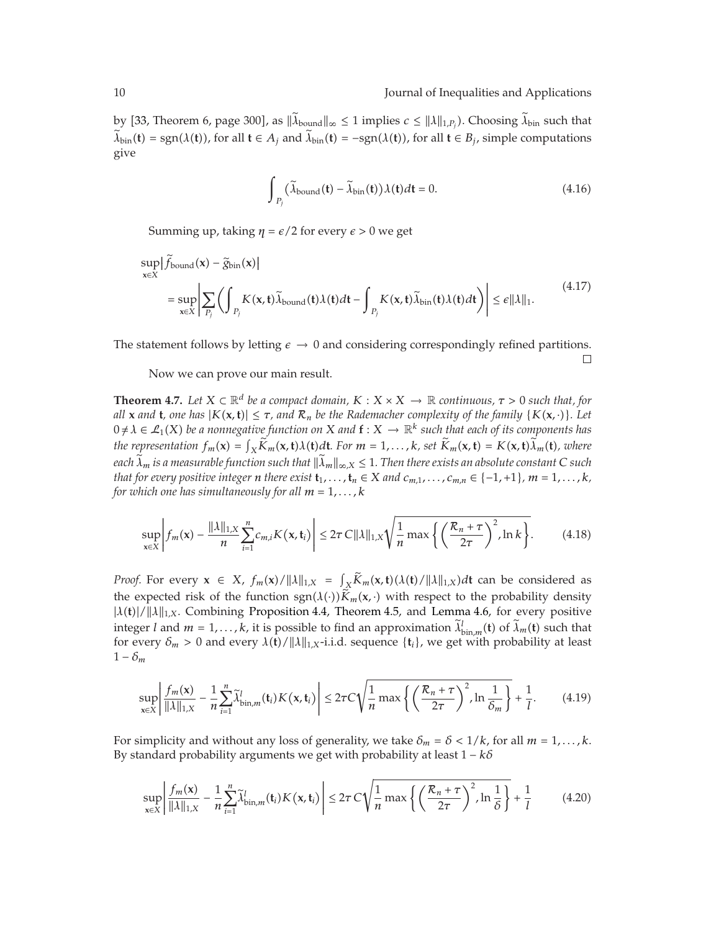by [33, Theorem 6, page 300], as  $\|\lambda_{\text{bound}}\|_{\infty} \le 1$  implies  $c \le \|\lambda\|_{1,P_j}$ ). Choosing  $\lambda_{\text{bin}}$  such that  $\tilde{\lambda}_{\text{bin}}(t) = \text{sgn}(\lambda(t))$ , for all  $t \in A_i$  and  $\tilde{\lambda}_{\text{bin}}(t) = -\text{sgn}(\lambda(t))$ , for all  $t \in B_i$ , simple computations give

$$
\int_{P_j} \left(\widetilde{\lambda}_{\text{bound}}(\mathbf{t}) - \widetilde{\lambda}_{\text{bin}}(\mathbf{t})\right) \lambda(\mathbf{t}) d\mathbf{t} = 0. \tag{4.16}
$$

Summing up, taking  $η = ε/2$  for every  $ε > 0$  we get

$$
\sup_{x \in X} \left| \hat{f}_{bound}(x) - \tilde{g}_{bin}(x) \right|
$$
\n
$$
= \sup_{x \in X} \left| \sum_{P_j} \left( \int_{P_j} K(x, t) \tilde{\lambda}_{bound}(t) \lambda(t) dt - \int_{P_j} K(x, t) \tilde{\lambda}_{bin}(t) \lambda(t) dt \right) \right| \le \varepsilon ||\lambda||_1.
$$
\n(4.17)

The statement follows by letting  $\epsilon \to 0$  and considering correspondingly refined partitions.  $\Box$ 

Now we can prove our main result.

**Theorem 4.7.** *Let*  $X \subset \mathbb{R}^d$  *be a compact domain,*  $K : X \times X \to \mathbb{R}$  *continuous,*  $\tau > 0$  *such that, for all* **x** and **t**, one has  $|K(\mathbf{x}, \mathbf{t})| \leq \tau$ , and  $\mathcal{R}_n$  be the Rademacher complexity of the family  $\{K(\mathbf{x}, \cdot)\}\)$ . Let  $0 \neq \lambda \in \mathcal{L}_1(X)$  be a nonnegative function on X and  $f: X \to \mathbb{R}^k$  such that each of its components has the representation  $f_m(\mathbf{x}) = \int_X \tilde{K}_m(\mathbf{x}, \mathbf{t}) \lambda(\mathbf{t}) d\mathbf{t}$ . For  $m = 1, ..., k$ , set  $\tilde{K}_m(\mathbf{x}, \mathbf{t}) = K(\mathbf{x}, \mathbf{t}) \lambda_m(\mathbf{t})$ , where *each*  $\tilde{\lambda}_m$  *is a measurable function such that*  $\|\tilde{\lambda}_m\|_{\infty,X} \leq 1$ . Then there exists an absolute constant C such *that for every positive integer n there exist*  $\mathbf{t}_1, \ldots, \mathbf{t}_n \in X$  *and*  $c_{m,1}, \ldots, c_{m,n} \in \{-1, +1\}$ *,*  $m = 1, \ldots, k$ *, for which one has simultaneously for all*  $m = 1, \ldots, k$ 

$$
\sup_{\mathbf{x}\in X}\left|f_m(\mathbf{x})-\frac{\|\lambda\|_{1,X}}{n}\sum_{i=1}^n c_{m,i}K(\mathbf{x},\mathbf{t}_i)\right|\leq 2\tau C\|\lambda\|_{1,X}\sqrt{\frac{1}{n}\max\left\{\left(\frac{\mathcal{R}_n+\tau}{2\tau}\right)^2,\ln k\right\}}.\tag{4.18}
$$

*Proof.* For every  $\mathbf{x} \in X$ ,  $f_m(\mathbf{x}) / ||\lambda||_{1,X} = \int_X K_m(\mathbf{x}, \mathbf{t}) (\lambda(\mathbf{t}) / ||\lambda||_{1,X}) d\mathbf{t}$  can be considered as the expected risk of the function  $sgn(\lambda(\cdot))\tilde{K}_m(\mathbf{x},\cdot)$  with respect to the probability density <sup>|</sup>*λ***t**|*/λ*1*,X*. Combining Proposition 4.4, Theorem 4.5, and Lemma 4.6, for every positive integer *l* and  $m = 1, ..., k$ , it is possible to find an approximation  $\lambda_{\text{bin},m}^l(\mathbf{t})$  of  $\lambda_m(\mathbf{t})$  such that for overy  $\delta > 0$  and overy  $\lambda(\mathbf{t})$  ([1]  $\lambda_{\text{test}}$  societies at last loss in the probability at loss for every  $\delta_m > 0$  and every  $\lambda(\mathbf{t}) / ||\lambda||_{1,X}$ -i.i.d. sequence  $\{\mathbf{t}_i\}$ , we get with probability at least  $1 - \delta_m$ 

$$
\sup_{\mathbf{x}\in X}\left|\frac{f_m(\mathbf{x})}{\|\lambda\|_{1,X}}-\frac{1}{n}\sum_{i=1}^n\tilde{\lambda}_{\text{bin},m}^l(\mathbf{t}_i)K(\mathbf{x},\mathbf{t}_i)\right|\leq 2\tau C\sqrt{\frac{1}{n}\max\left\{\left(\frac{\mathcal{R}_n+\tau}{2\tau}\right)^2,\ln\frac{1}{\delta_m}\right\}}+\frac{1}{l}.\tag{4.19}
$$

For simplicity and without any loss of generality, we take  $\delta_m = \delta < 1/k$ , for all  $m = 1, \ldots, k$ . By standard probability arguments we get with probability at least 1 − *kδ*

$$
\sup_{\mathbf{x}\in X}\left|\frac{f_m(\mathbf{x})}{\|\lambda\|_{1,X}}-\frac{1}{n}\sum_{i=1}^n\tilde{\lambda}_{\text{bin},m}^l(\mathbf{t}_i)K(\mathbf{x},\mathbf{t}_i)\right|\leq 2\tau C\sqrt{\frac{1}{n}\max\left\{\left(\frac{\mathcal{R}_n+\tau}{2\tau}\right)^2,\ln\frac{1}{\delta}\right\}}+\frac{1}{l}\tag{4.20}
$$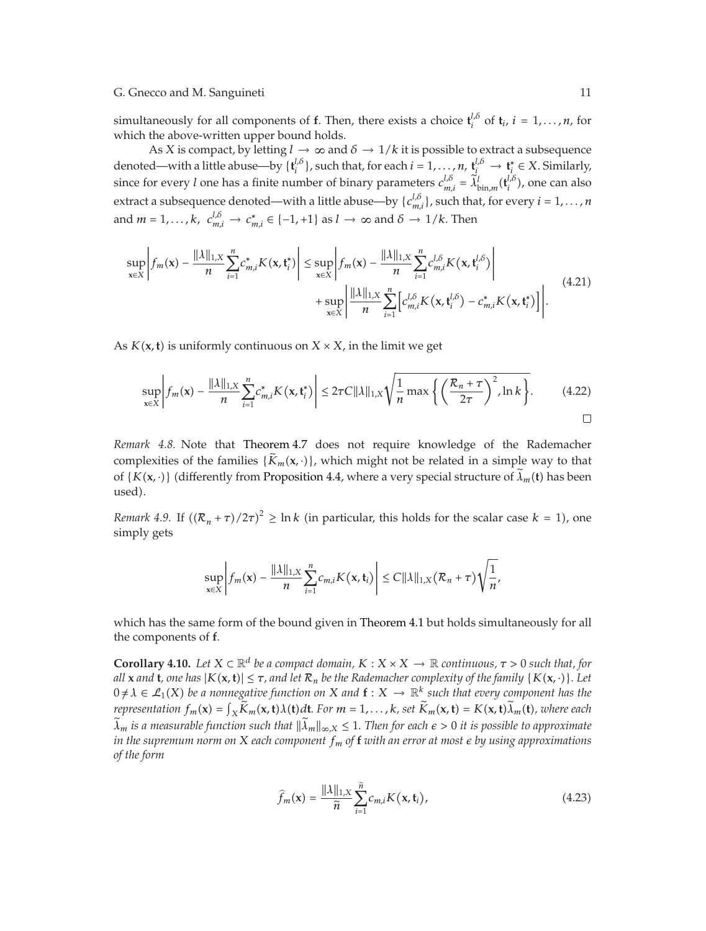simultaneously for all components of **f**. Then, there exists a choice  $\mathbf{t}_{i}^{l,\delta}$  of  $\mathbf{t}_{i}$ ,  $i = 1, \ldots, n$ , for which the above-written upper bound holds.

As *X* is compact, by letting  $l \to \infty$  and  $\delta \to 1/k$  it is possible to extract a subsequence denoted—with a little abuse—by  $\{t_i^{l,\delta}\}$ , such that, for each  $i = 1, ..., n$ ,  $t_i^{l,\delta} \to t_i^* \in X$ . Similarly, since for every *l* one has a finite number of binary parameters  $c_{m,i}^{l,\delta} = \tilde{\lambda}_{\text{bin},m}^{l}(\mathbf{t}_{i}^{l,\delta})$ , one can also extract a subsequence denoted—with a little abuse—by  $\{c_{m,i}^{l,\delta}\}$ , such that, for every  $i = 1, ..., n$ and  $m = 1, ..., k$ ,  $c_{m,i}^{l,\delta} \rightarrow c_{m,i}^* \in \{-1, +1\}$  as  $l \rightarrow \infty$  and  $\delta \rightarrow 1/k$ . Then

$$
\sup_{x \in X} \left| f_m(x) - \frac{\|\lambda\|_{1,X}}{n} \sum_{i=1}^n c_{m,i}^* K(x, t_i^*) \right| \leq \sup_{x \in X} \left| f_m(x) - \frac{\|\lambda\|_{1,X}}{n} \sum_{i=1}^n c_{m,i}^{l,\delta} K(x, t_i^{l,\delta}) \right| + \sup_{x \in X} \left| \frac{\|\lambda\|_{1,X}}{n} \sum_{i=1}^n \left[ c_{m,i}^{l,\delta} K(x, t_i^{l,\delta}) - c_{m,i}^* K(x, t_i^*) \right] \right|.
$$
\n(4.21)

As  $K(x, t)$  is uniformly continuous on  $X \times X$ , in the limit we get

$$
\sup_{\mathbf{x}\in\mathcal{X}}\left|f_m(\mathbf{x})-\frac{\|\lambda\|_{1,X}}{n}\sum_{i=1}^n c_{m,i}^*K(\mathbf{x},\mathbf{t}_i^*)\right|\leq 2\tau C \|\lambda\|_{1,X}\sqrt{\frac{1}{n}\max\left\{\left(\frac{\mathcal{R}_n+\tau}{2\tau}\right)^2,\ln k\right\}}.\tag{4.22}
$$

*Remark 4.8.* Note that Theorem 4.7 does not require knowledge of the Rademacher complexities of the families  $\{\tilde{K}_m(\mathbf{x},\cdot)\}\)$ , which might not be related in a simple way to that of  $\{K(\mathbf{x},\cdot)\}\$  (differently from Proposition 4.4, where a very special structure of  $\tilde{\lambda}_m(\mathbf{t})$  has been used).

*Remark 4.9.* If  $((R_n + \tau)/2\tau)^2 \ge \ln k$  (in particular, this holds for the scalar case  $k = 1$ ), one simply gets

$$
\sup_{\mathbf{x}\in X}\left|f_m(\mathbf{x})-\frac{\|\lambda\|_{1,X}}{n}\sum_{i=1}^n c_{m,i}K(\mathbf{x},\mathbf{t}_i)\right|\leq C\|\lambda\|_{1,X}(\mathcal{R}_n+\tau)\sqrt{\frac{1}{n}},
$$

which has the same form of the bound given in Theorem 4.1 but holds simultaneously for all the components of **f**.

**Corollary 4.10.** *Let*  $X \subset \mathbb{R}^d$  *be a compact domain,*  $K : X \times X \to \mathbb{R}$  *continuous,*  $\tau > 0$  *such that, for all* **x** and **t**, one has  $|K(\mathbf{x}, \mathbf{t})| \leq \tau$ , and let  $\mathcal{R}_n$  be the Rademacher complexity of the family  $\{K(\mathbf{x}, \cdot)\}\$ . Let  $0 \neq \lambda \in \mathcal{L}_1(X)$  be a nonnegative function on X and  $f: X \to \mathbb{R}^k$  such that every component has the representation  $f_m(\mathbf{x}) = \int_X \tilde{K}_m(\mathbf{x}, t) \lambda(t) dt$ . For  $m = 1, ..., k$ , set  $\tilde{K}_m(\mathbf{x}, t) = K(\mathbf{x}, t) \lambda_m(t)$ , where each  $\tilde{\lambda}$  $\widetilde{\lambda}_m$  *is a measurable function such that*  $\|\widetilde{\lambda}_m\|_{\infty,X} \leq 1$ . Then for each  $\epsilon > 0$  *it is possible to approximate in the supremum norm on <sup>X</sup> each component fm of* **<sup>f</sup>** *with an error at most by using approximations of the form*

$$
\widehat{f}_m(\mathbf{x}) = \frac{\|\lambda\|_{1,X}}{\widetilde{n}} \sum_{i=1}^{\widetilde{n}} c_{m,i} K(\mathbf{x}, \mathbf{t}_i),
$$
\n(4.23)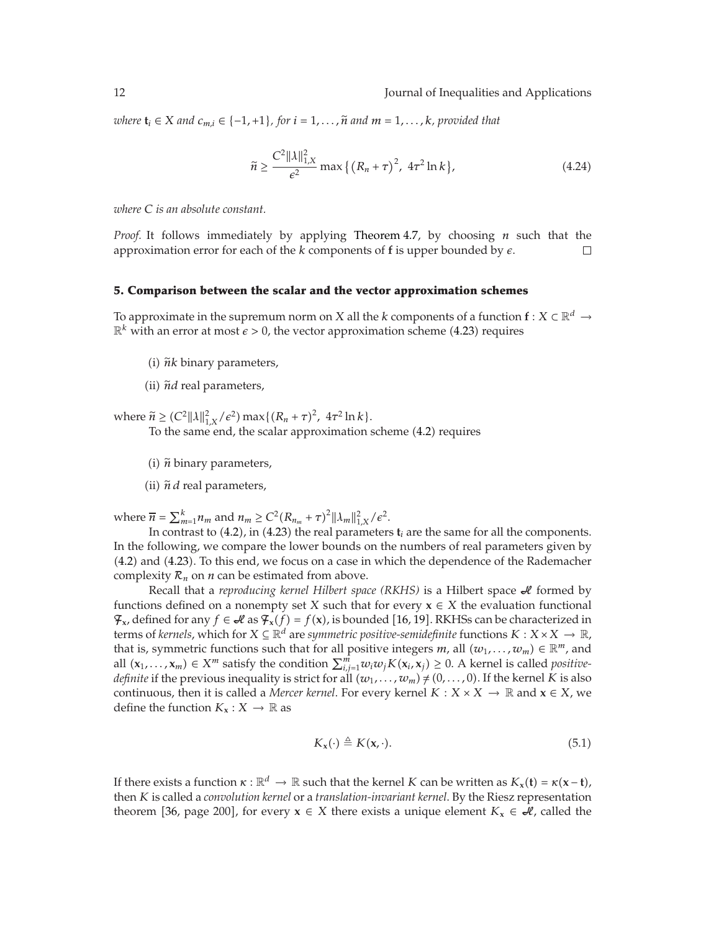*where* *and* $c_{m,i} ∈ \{-1, +1\}$ *, for* $i = 1, \ldots, \tilde{n}$ *and* $m = 1, \ldots, k$ *, provided that* 

$$
\widetilde{n} \ge \frac{C^2 ||\lambda||_{1,X}^2}{\epsilon^2} \max \left\{ \left( R_n + \tau \right)^2, \, 4\tau^2 \ln k \right\},\tag{4.24}
$$

*where C is an absolute constant.*

*Proof.* It follows immediately by applying Theorem 4.7, by choosing *n* such that the approximation error for each of the  $k$  components of  $f$  is upper bounded by  $\varepsilon$ .  $\Box$ 

# **5. Comparison between the scalar and the vector approximation schemes**

To approximate in the supremum norm on *X* all the *k* components of a function  $f: X \subset \mathbb{R}^d \to$  $\mathbb{R}^k$  with an error at most  $\epsilon > 0$ , the vector approximation scheme (4.23) requires

- $(i)$   $\tilde{n}$ *k* binary parameters,
- (ii)  $\tilde{n}d$  real parameters,

where  $\widetilde{n} \geq (C^2 ||\lambda||_{1,X}^2/\epsilon^2) \max\{(R_n + \tau)^2, 4\tau^2 \ln k\}$ .<br>To the same and the scalar approximation

To the same end, the scalar approximation scheme (4.2) requires

- $(i)$   $\tilde{n}$  binary parameters,
- (ii)  $\tilde{n}$  *d* real parameters,

where  $\overline{n} = \sum_{m=1}^{k} n_m$  and  $n_m \ge C^2 (R_{n_m} + \tau)^2 ||\lambda_m||_{1,X}^2 / \epsilon^2$ .

In contrast to  $(4.2)$ , in  $(4.23)$  the real parameters  $t_i$  are the same for all the components. In the following, we compare the lower bounds on the numbers of real parameters given by 4.2 and 4.23. To this end, we focus on a case in which the dependence of the Rademacher complexity  $\mathcal{R}_n$  on *n* can be estimated from above.

Recall that a *reproducing kernel Hilbert space (RKHS)* is a Hilbert space  $\mathcal A$  formed by functions defined on a nonempty set *X* such that for every  $x \in X$  the evaluation functional  $\mathcal{F}_x$ , defined for any *f* ∈  $\mathcal{A}$  as  $\mathcal{F}_x(f) = f(x)$ , is bounded [16, 19]. RKHSs can be characterized in torms of *kernels*, which for *X* ∈  $\mathbb{R}^d$  are *summetric nositive-semidefinite* functions *K* · *X* × terms of *kernels*, which for  $X \subseteq \mathbb{R}^d$  are *symmetric positive-semidefinite* functions  $K : X \times X \to \mathbb{R}$ , that is, symmetric functions such that for all positive integers *m*, all  $(w_1, \ldots, w_m) \in \mathbb{R}^m$ , and all  $(\mathbf{x}_1, \dots, \mathbf{x}_m) \in X^m$  satisfy the condition  $\sum_{i,j=1}^m w_i w_j K(\mathbf{x}_i, \mathbf{x}_j) \geq 0$ . A kernel is called *positive-*<br>*definite* if the provious inoquality is strict for all  $(w_1, \dots, w_n) \neq (0, \dots, 0)$ . If the kernel K is *definite* if the previous inequality is strict for all  $(w_1, \ldots, w_m) \neq (0, \ldots, 0)$ . If the kernel *K* is also continuous, then it is called a *Mercer kernel*. For every kernel  $K : X \times X \to \mathbb{R}$  and  $x \in X$ , we define the function  $K_{\mathbf{x}} : X \to \mathbb{R}$  as

$$
K_{\mathbf{x}}(\cdot) \triangleq K(\mathbf{x}, \cdot). \tag{5.1}
$$

If there exists a function  $\kappa : \mathbb{R}^d \to \mathbb{R}$  such that the kernel *K* can be written as  $K_x(\mathbf{t}) = \kappa(\mathbf{x} - \mathbf{t})$ , then *K* is called a *convolution kernel* or a *translation-invariant kernel*. By the Riesz representation theorem [36, page 200], for every  $x \in X$  there exists a unique element  $K_x \in \mathcal{A}$ , called the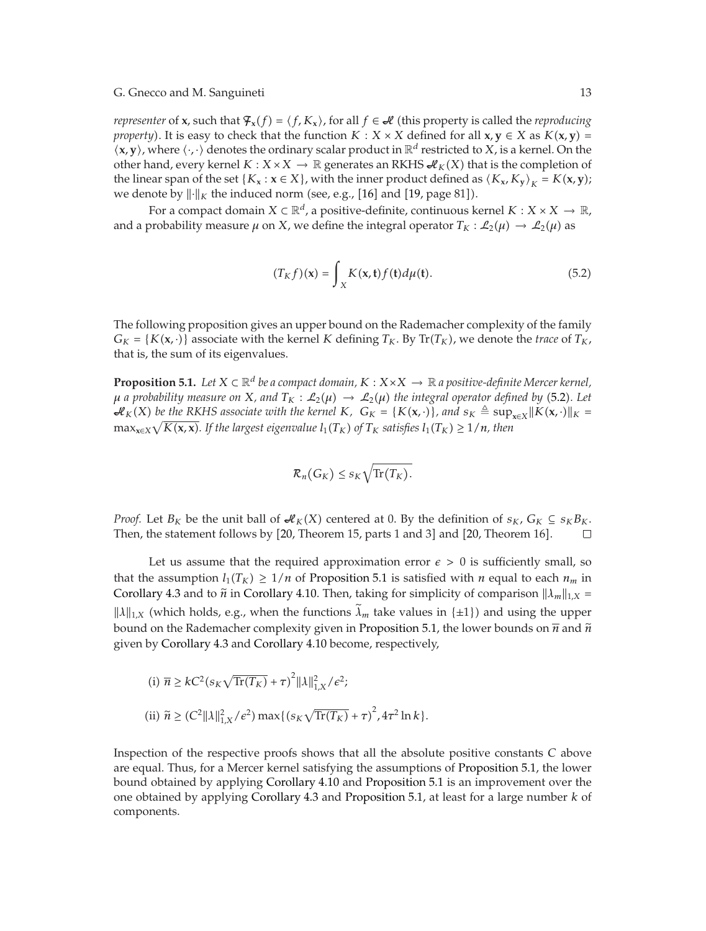*representer* of **x**, such that  $\mathcal{F}_x(f) = \langle f, K_x \rangle$ , for all  $f \in \mathcal{H}$  (this property is called the *reproducing property*). It is easy to check that the function  $K : X \times X$  defined for all  $x, y \in X$  as  $K(x, y) =$  $\langle x, y \rangle$ , where  $\langle \cdot, \cdot \rangle$  denotes the ordinary scalar product in  $\mathbb{R}^d$  restricted to *X*, is a kernel. On the other hand, every kernel  $K : X \times X \to \mathbb{R}$  generates an RKHS  $\mathcal{M}_K(X)$  that is the completion of the linear span of the set { $K_x$  :  $x \in X$ }, with the inner product defined as  $\langle K_x, K_y \rangle_K = K(x, y)$ ; we denote by  $\lVert \cdot \rVert_K$  the induced norm (see, e.g., [16] and [19, page 81]).

For a compact domain  $X \subset \mathbb{R}^d$ , a positive-definite, continuous kernel  $K : X \times X \to \mathbb{R}$ , and a probability measure  $\mu$  on *X*, we define the integral operator  $T_K : \mathcal{L}_2(\mu) \to \mathcal{L}_2(\mu)$  as

$$
(T_K f)(\mathbf{x}) = \int_X K(\mathbf{x}, \mathbf{t}) f(\mathbf{t}) d\mu(\mathbf{t}).
$$
\n(5.2)

The following proposition gives an upper bound on the Rademacher complexity of the family  $G_K = \{K(\mathbf{x}, \cdot)\}\$ associate with the kernel *K* defining  $T_K$ . By  $Tr(T_K)$ , we denote the *trace* of  $T_K$ , that is, the sum of its eigenvalues.

**Proposition 5.1.** *Let*  $X \subset \mathbb{R}^d$  *be a compact domain,*  $K : X \times X \to \mathbb{R}$  *a positive-definite Mercer kernel,*  $\mu$  *a probability measure on X, and*  $T_K$  :  $\mathcal{L}_2(\mu) \to \mathcal{L}_2(\mu)$  the integral operator defined by (5.2). Let  $\mathcal{H}_K(X)$  be the RKHS associate with the kernel  $K$ *,*  $G_K = \{K(\mathbf{x}, \cdot)\}\$ , and  $s_K \triangleq \sup_{\mathbf{x} \in X} ||K(\mathbf{x}, \cdot)||_K =$ <br>  $\max_{\mathbf{x} \in X} \left| \frac{K(\mathbf{x}, \mathbf{x})}{\mathbf{x}^H(\mathbf{x}, \cdot)} \right|_K$  is the largest circumplied  $\left| \frac{K}{\mathbf{x}} \right|_K \geq \text{stirling$  $\max_{\mathbf{x} \in X} \sqrt{K(\mathbf{x}, \mathbf{x})}$ . If the largest eigenvalue  $l_1(T_K)$  of  $T_K$  satisfies  $l_1(T_K) \geq 1/n$ , then

$$
\mathcal{R}_n(G_K)\leq s_K\sqrt{\text{Tr}(T_K)}.
$$

*Proof.* Let  $B_K$  be the unit ball of  $\mathcal{A}_K(X)$  centered at 0. By the definition of  $s_K$ ,  $G_K \subseteq s_K B_K$ . Then, the statement follows by  $[20$ , Theorem 15, parts 1 and 3] and  $[20$ , Theorem 16].  $\Box$ 

Let us assume that the required approximation error  $\epsilon > 0$  is sufficiently small, so that the assumption  $l_1(T_K) \geq 1/n$  of Proposition 5.1 is satisfied with *n* equal to each  $n_m$  in Corollary 4.3 and to  $\tilde{n}$  in Corollary 4.10. Then, taking for simplicity of comparison  $\|\lambda_m\|_{1,X}$  =  $\|\lambda\|_{1,X}$  (which holds, e.g., when the functions  $\lambda_m$  take values in { $\pm 1$ }) and using the upper bound on the Rademacher complexity given in Proposition 5.1, the lower bounds on  $\overline{n}$  and  $\widetilde{n}$ given by Corollary 4.3 and Corollary 4.10 become, respectively,

(i) 
$$
\bar{n} \ge kC^2(s_K\sqrt{\text{Tr}(T_K)} + \tau)^2 ||\lambda||_{1,X}^2 / \epsilon^2;
$$
  
\n(ii)  $\tilde{n} \ge (C^2 ||\lambda||_{1,X}^2 / \epsilon^2) \max\{(s_K\sqrt{\text{Tr}(T_K)} + \tau)^2 / 4\tau^2 \ln k\}.$ 

Inspection of the respective proofs shows that all the absolute positive constants *C* above are equal. Thus, for a Mercer kernel satisfying the assumptions of Proposition 5.1, the lower bound obtained by applying Corollary 4.10 and Proposition 5.1 is an improvement over the one obtained by applying Corollary 4.3 and Proposition 5.1, at least for a large number *k* of components.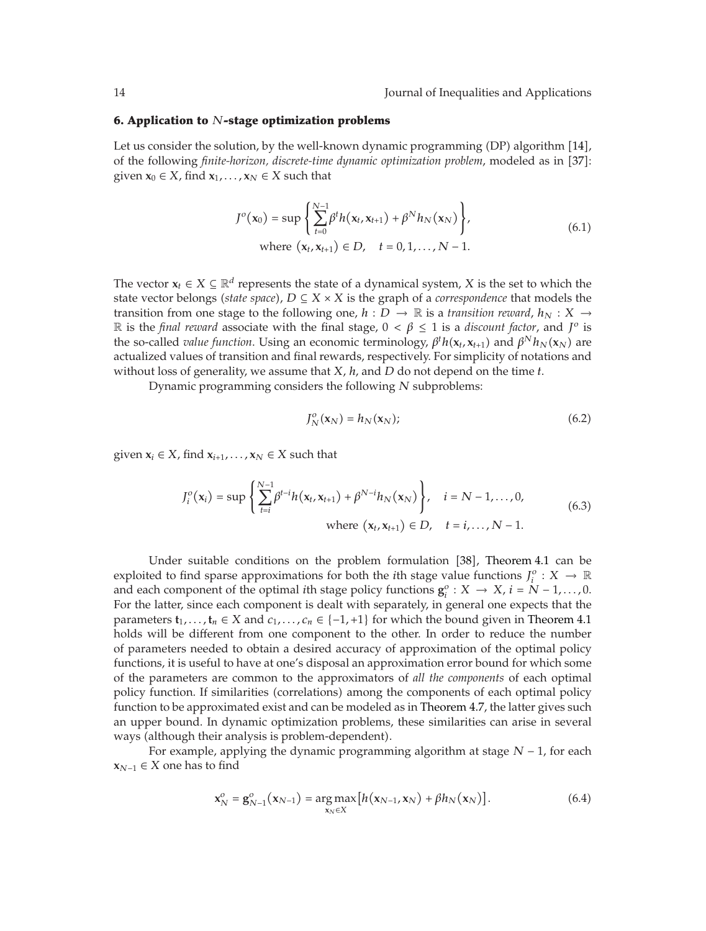## **6. Application to** *N***-stage optimization problems**

Let us consider the solution, by the well-known dynamic programming (DP) algorithm [14], of the following *finite-horizon, discrete-time dynamic optimization problem,* modeled as in [37]: given  $\mathbf{x}_0 \in X$ , find  $\mathbf{x}_1, \ldots, \mathbf{x}_N \in X$  such that

$$
J^{o}(\mathbf{x}_{0}) = \sup \left\{ \sum_{t=0}^{N-1} \beta^{t} h(\mathbf{x}_{t}, \mathbf{x}_{t+1}) + \beta^{N} h_{N}(\mathbf{x}_{N}) \right\},
$$
  
where  $(\mathbf{x}_{t}, \mathbf{x}_{t+1}) \in D, \quad t = 0, 1, ..., N-1.$  (6.1)

The vector  $x_t \in X \subseteq \mathbb{R}^d$  represents the state of a dynamical system, *X* is the set to which the state vector belongs *(state space)*,  $D \subseteq X \times X$  is the graph of a *correspondence* that models the transition from one stage to the following one,  $h : D \to \mathbb{R}$  is a *transition reward*,  $h_N : X \to$ R is the *final reward* associate with the final stage,  $0 < \beta \le 1$  is a *discount factor*, and  $J^o$  is the so-called *value function*. Using an economic terminology,  $\beta^t h(\mathbf{x}_t, \mathbf{x}_{t+1})$  and  $\beta^N h_N(\mathbf{x}_N)$  are actualized values of transition and final rewards, respectively. For simplicity of potations and actualized values of transition and final rewards, respectively. For simplicity of notations and without loss of generality, we assume that *X*, *h*, and *D* do not depend on the time *t*.

Dynamic programming considers the following *N* subproblems:

$$
J_N^o(\mathbf{x}_N) = h_N(\mathbf{x}_N); \tag{6.2}
$$

given  $x_i \in X$ , find  $x_{i+1}, \ldots, x_N \in X$  such that

$$
J_i^o(\mathbf{x}_i) = \sup \left\{ \sum_{t=i}^{N-1} \beta^{t-i} h(\mathbf{x}_t, \mathbf{x}_{t+1}) + \beta^{N-i} h_N(\mathbf{x}_N) \right\}, \quad i = N-1, ..., 0,
$$
  
where  $(\mathbf{x}_t, \mathbf{x}_{t+1}) \in D, \quad t = i, ..., N-1.$  (6.3)

Under suitable conditions on the problem formulation [38], Theorem 4.1 can be exploited to find sparse approximations for both the *i*th stage value functions  $J_i^o: X \to \mathbb{R}$ and each component of the optimal *i*th stage policy functions  $\mathbf{g}_i^o : X \to X$ ,  $i = N - 1, ..., 0$ .<br>For the latter since each component is dealt with separately in general one expects that the For the latter, since each component is dealt with separately, in general one expects that the parameters  $\mathbf{t}_1, \ldots, \mathbf{t}_n \in X$  and  $c_1, \ldots, c_n \in \{-1, +1\}$  for which the bound given in Theorem 4.1 holds will be different from one component to the other. In order to reduce the number of parameters needed to obtain a desired accuracy of approximation of the optimal policy functions, it is useful to have at one's disposal an approximation error bound for which some of the parameters are common to the approximators of *all the components* of each optimal policy function. If similarities (correlations) among the components of each optimal policy function to be approximated exist and can be modeled as in Theorem 4.7, the latter gives such an upper bound. In dynamic optimization problems, these similarities can arise in several ways (although their analysis is problem-dependent).

For example, applying the dynamic programming algorithm at stage *N* − 1, for each  $$ 

$$
\mathbf{x}_N^o = \mathbf{g}_{N-1}^o(\mathbf{x}_{N-1}) = \underset{\mathbf{x}_N \in X}{\arg \max} \big[ h(\mathbf{x}_{N-1}, \mathbf{x}_N) + \beta h_N(\mathbf{x}_N) \big]. \tag{6.4}
$$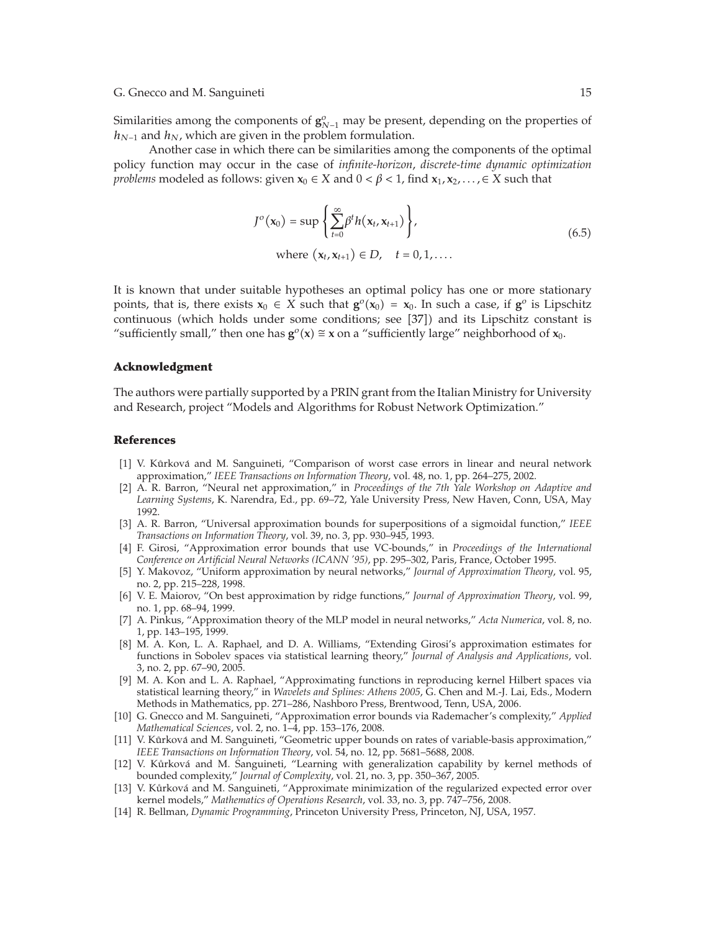Similarities among the components of  $\mathbf{g}_{N-1}^o$  may be present, depending on the properties of  $h_{N-1}$  and  $h_N$ , which are given in the problem formulation.

Another case in which there can be similarities among the components of the optimal policy function may occur in the case of *infinite-horizon*, *discrete-time dynamic optimization problems* modeled as follows: given  $x_0 \in X$  and  $0 < \beta < 1$ , find  $x_1, x_2, \ldots, \in X$  such that

$$
J^{o}(\mathbf{x}_{0}) = \sup \left\{ \sum_{t=0}^{\infty} \beta^{t} h(\mathbf{x}_{t}, \mathbf{x}_{t+1}) \right\},
$$
  
where  $(\mathbf{x}_{t}, \mathbf{x}_{t+1}) \in D, \quad t = 0, 1, ...$  (6.5)

It is known that under suitable hypotheses an optimal policy has one or more stationary points, that is, there exists  $\mathbf{x}_0 \in X$  such that  $\mathbf{g}^o(\mathbf{x}_0) = \mathbf{x}_0$ . In such a case, if  $\mathbf{g}^o$  is Lipschitz continuous (which holds under some conditions; see [37]) and its Lipschitz constant is "sufficiently small," then one has  $\mathbf{g}^{\circ}(\mathbf{x}) \cong \mathbf{x}$  on a "sufficiently large" neighborhood of  $\mathbf{x}_0$ .

# **Acknowledgment**

The authors were partially supported by a PRIN grant from the Italian Ministry for University and Research, project "Models and Algorithms for Robust Network Optimization."

#### **References**

- [1] V. Kůrková and M. Sanguineti, "Comparison of worst case errors in linear and neural network approximation," *IEEE Transactions on Information Theory*, vol. 48, no. 1, pp. 264–275, 2002.
- [2] A. R. Barron, "Neural net approximation," in *Proceedings of the 7th Yale Workshop on Adaptive and Learning Systems*, K. Narendra, Ed., pp. 69–72, Yale University Press, New Haven, Conn, USA, May 1992.
- -3 A. R. Barron, "Universal approximation bounds for superpositions of a sigmoidal function," *IEEE Transactions on Information Theory*, vol. 39, no. 3, pp. 930–945, 1993.
- -4 F. Girosi, "Approximation error bounds that use VC-bounds," in *Proceedings of the International Conference on Artificial Neural Networks (ICANN '95)*, pp. 295–302, Paris, France, October 1995.
- [5] Y. Makovoz, "Uniform approximation by neural networks," *Journal of Approximation Theory*, vol. 95, no. 2, pp. 215–228, 1998.
- [6] V. E. Maiorov, "On best approximation by ridge functions," *Journal of Approximation Theory*, vol. 99, no. 1, pp. 68–94, 1999.
- -7 A. Pinkus, "Approximation theory of the MLP model in neural networks," *Acta Numerica*, vol. 8, no. 1, pp. 143–195, 1999.
- [8] M. A. Kon, L. A. Raphael, and D. A. Williams, "Extending Girosi's approximation estimates for functions in Sobolev spaces via statistical learning theory," *Journal of Analysis and Applications*, vol. 3, no. 2, pp. 67–90, 2005.
- [9] M. A. Kon and L. A. Raphael, "Approximating functions in reproducing kernel Hilbert spaces via statistical learning theory," in *Wavelets and Splines: Athens 2005*, G. Chen and M.-J. Lai, Eds., Modern Methods in Mathematics, pp. 271–286, Nashboro Press, Brentwood, Tenn, USA, 2006.
- [10] G. Gnecco and M. Sanguineti, "Approximation error bounds via Rademacher's complexity," Applied *Mathematical Sciences*, vol. 2, no. 1–4, pp. 153–176, 2008.
- [11] V. Kůrková and M. Sanguineti, "Geometric upper bounds on rates of variable-basis approximation," *IEEE Transactions on Information Theory*, vol. 54, no. 12, pp. 5681–5688, 2008.
- [12] V. Kůrková and M. Sanguineti, "Learning with generalization capability by kernel methods of bounded complexity," *Journal of Complexity*, vol. 21, no. 3, pp. 350–367, 2005.
- [13] V. Kůrková and M. Sanguineti, "Approximate minimization of the regularized expected error over kernel models," *Mathematics of Operations Research*, vol. 33, no. 3, pp. 747–756, 2008.
- [14] R. Bellman, *Dynamic Programming*, Princeton University Press, Princeton, NJ, USA, 1957.